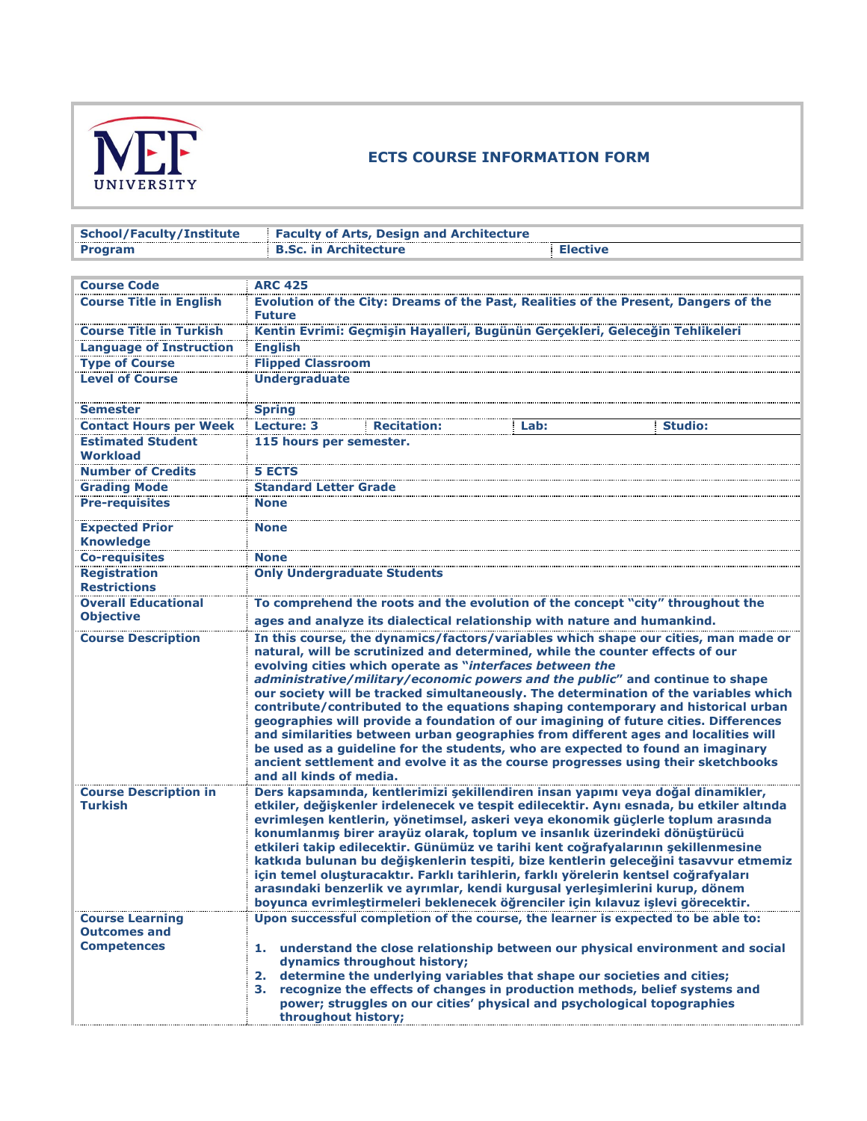

## **ECTS COURSE INFORMATION FORM**

| <b>School/Faculty/Institute</b>                |                                                                                                                                                            | <b>Faculty of Arts, Design and Architecture</b>          |                                                                                                                                                                                                                                                                                                                                                                                                                           |                                                                                                                                                                                                                                                                                                                                                                                                                                                                                                                                                                                                                                                                                                        |
|------------------------------------------------|------------------------------------------------------------------------------------------------------------------------------------------------------------|----------------------------------------------------------|---------------------------------------------------------------------------------------------------------------------------------------------------------------------------------------------------------------------------------------------------------------------------------------------------------------------------------------------------------------------------------------------------------------------------|--------------------------------------------------------------------------------------------------------------------------------------------------------------------------------------------------------------------------------------------------------------------------------------------------------------------------------------------------------------------------------------------------------------------------------------------------------------------------------------------------------------------------------------------------------------------------------------------------------------------------------------------------------------------------------------------------------|
| Program                                        | <b>B.Sc. in Architecture</b>                                                                                                                               |                                                          | <b>Elective</b>                                                                                                                                                                                                                                                                                                                                                                                                           |                                                                                                                                                                                                                                                                                                                                                                                                                                                                                                                                                                                                                                                                                                        |
|                                                |                                                                                                                                                            |                                                          |                                                                                                                                                                                                                                                                                                                                                                                                                           |                                                                                                                                                                                                                                                                                                                                                                                                                                                                                                                                                                                                                                                                                                        |
| <b>Course Code</b>                             | <b>ARC 425</b>                                                                                                                                             |                                                          |                                                                                                                                                                                                                                                                                                                                                                                                                           |                                                                                                                                                                                                                                                                                                                                                                                                                                                                                                                                                                                                                                                                                                        |
| <b>Course Title in English</b>                 |                                                                                                                                                            |                                                          |                                                                                                                                                                                                                                                                                                                                                                                                                           | Evolution of the City: Dreams of the Past, Realities of the Present, Dangers of the                                                                                                                                                                                                                                                                                                                                                                                                                                                                                                                                                                                                                    |
|                                                | <b>Future</b>                                                                                                                                              |                                                          |                                                                                                                                                                                                                                                                                                                                                                                                                           |                                                                                                                                                                                                                                                                                                                                                                                                                                                                                                                                                                                                                                                                                                        |
| <b>Course Title in Turkish</b>                 |                                                                                                                                                            |                                                          | Kentin Evrimi: Geçmişin Hayalleri, Bugünün Gerçekleri, Geleceğin Tehlikeleri                                                                                                                                                                                                                                                                                                                                              |                                                                                                                                                                                                                                                                                                                                                                                                                                                                                                                                                                                                                                                                                                        |
| <b>Language of Instruction</b>                 | <b>English</b>                                                                                                                                             |                                                          |                                                                                                                                                                                                                                                                                                                                                                                                                           |                                                                                                                                                                                                                                                                                                                                                                                                                                                                                                                                                                                                                                                                                                        |
| <b>Type of Course</b>                          | <b>Flipped Classroom</b>                                                                                                                                   |                                                          |                                                                                                                                                                                                                                                                                                                                                                                                                           |                                                                                                                                                                                                                                                                                                                                                                                                                                                                                                                                                                                                                                                                                                        |
| <b>Level of Course</b>                         | <b>Undergraduate</b>                                                                                                                                       |                                                          |                                                                                                                                                                                                                                                                                                                                                                                                                           |                                                                                                                                                                                                                                                                                                                                                                                                                                                                                                                                                                                                                                                                                                        |
| <b>Semester</b>                                | <b>Spring</b>                                                                                                                                              |                                                          |                                                                                                                                                                                                                                                                                                                                                                                                                           |                                                                                                                                                                                                                                                                                                                                                                                                                                                                                                                                                                                                                                                                                                        |
| <b>Contact Hours per Week</b>                  | Lecture: 3                                                                                                                                                 | <b>Recitation:</b>                                       | Lab:                                                                                                                                                                                                                                                                                                                                                                                                                      | <b>Studio:</b>                                                                                                                                                                                                                                                                                                                                                                                                                                                                                                                                                                                                                                                                                         |
| <b>Estimated Student</b><br><b>Workload</b>    | 115 hours per semester.                                                                                                                                    |                                                          |                                                                                                                                                                                                                                                                                                                                                                                                                           |                                                                                                                                                                                                                                                                                                                                                                                                                                                                                                                                                                                                                                                                                                        |
| <b>Number of Credits</b>                       | <b>5 ECTS</b>                                                                                                                                              |                                                          |                                                                                                                                                                                                                                                                                                                                                                                                                           |                                                                                                                                                                                                                                                                                                                                                                                                                                                                                                                                                                                                                                                                                                        |
| <b>Grading Mode</b>                            | <b>Standard Letter Grade</b>                                                                                                                               |                                                          |                                                                                                                                                                                                                                                                                                                                                                                                                           |                                                                                                                                                                                                                                                                                                                                                                                                                                                                                                                                                                                                                                                                                                        |
| <b>Pre-requisites</b>                          | <b>None</b>                                                                                                                                                |                                                          |                                                                                                                                                                                                                                                                                                                                                                                                                           |                                                                                                                                                                                                                                                                                                                                                                                                                                                                                                                                                                                                                                                                                                        |
| <b>Expected Prior</b><br><b>Knowledge</b>      | <b>None</b>                                                                                                                                                |                                                          |                                                                                                                                                                                                                                                                                                                                                                                                                           |                                                                                                                                                                                                                                                                                                                                                                                                                                                                                                                                                                                                                                                                                                        |
| <b>Co-requisites</b>                           | <b>None</b>                                                                                                                                                |                                                          |                                                                                                                                                                                                                                                                                                                                                                                                                           |                                                                                                                                                                                                                                                                                                                                                                                                                                                                                                                                                                                                                                                                                                        |
| <b>Registration</b><br><b>Restrictions</b>     | <b>Only Undergraduate Students</b>                                                                                                                         |                                                          |                                                                                                                                                                                                                                                                                                                                                                                                                           |                                                                                                                                                                                                                                                                                                                                                                                                                                                                                                                                                                                                                                                                                                        |
| <b>Overall Educational</b>                     |                                                                                                                                                            |                                                          |                                                                                                                                                                                                                                                                                                                                                                                                                           |                                                                                                                                                                                                                                                                                                                                                                                                                                                                                                                                                                                                                                                                                                        |
| <b>Objective</b>                               | To comprehend the roots and the evolution of the concept "city" throughout the<br>ages and analyze its dialectical relationship with nature and humankind. |                                                          |                                                                                                                                                                                                                                                                                                                                                                                                                           |                                                                                                                                                                                                                                                                                                                                                                                                                                                                                                                                                                                                                                                                                                        |
| <b>Course Description</b>                      | and all kinds of media.                                                                                                                                    | evolving cities which operate as "interfaces between the | natural, will be scrutinized and determined, while the counter effects of our                                                                                                                                                                                                                                                                                                                                             | In this course, the dynamics/factors/variables which shape our cities, man made or<br>administrative/military/economic powers and the public" and continue to shape<br>our society will be tracked simultaneously. The determination of the variables which<br>contribute/contributed to the equations shaping contemporary and historical urban<br>geographies will provide a foundation of our imagining of future cities. Differences<br>and similarities between urban geographies from different ages and localities will<br>be used as a guideline for the students, who are expected to found an imaginary<br>ancient settlement and evolve it as the course progresses using their sketchbooks |
| <b>Course Description in</b><br><b>Turkish</b> |                                                                                                                                                            |                                                          | konumlanmış birer arayüz olarak, toplum ve insanlık üzerindeki dönüştürücü<br>etkileri takip edilecektir. Günümüz ve tarihi kent coğrafyalarının şekillenmesine<br>için temel oluşturacaktır. Farklı tarihlerin, farklı yörelerin kentsel coğrafyaları<br>arasındaki benzerlik ve ayrımlar, kendi kurgusal yerleşimlerini kurup, dönem<br>boyunca evrimleştirmeleri beklenecek öğrenciler için kılavuz işlevi görecektir. | Ders kapsamında, kentlerimizi şekillendiren insan yapımı veya doğal dinamikler,<br>etkiler, değişkenler irdelenecek ve tespit edilecektir. Aynı esnada, bu etkiler altında<br>evrimleşen kentlerin, yönetimsel, askeri veya ekonomik güçlerle toplum arasında<br>katkıda bulunan bu değişkenlerin tespiti, bize kentlerin geleceğini tasavvur etmemiz                                                                                                                                                                                                                                                                                                                                                  |
| <b>Course Learning</b>                         |                                                                                                                                                            |                                                          | Upon successful completion of the course, the learner is expected to be able to:                                                                                                                                                                                                                                                                                                                                          |                                                                                                                                                                                                                                                                                                                                                                                                                                                                                                                                                                                                                                                                                                        |
| <b>Outcomes and</b>                            |                                                                                                                                                            |                                                          |                                                                                                                                                                                                                                                                                                                                                                                                                           |                                                                                                                                                                                                                                                                                                                                                                                                                                                                                                                                                                                                                                                                                                        |
| <b>Competences</b>                             |                                                                                                                                                            |                                                          |                                                                                                                                                                                                                                                                                                                                                                                                                           | 1. understand the close relationship between our physical environment and social                                                                                                                                                                                                                                                                                                                                                                                                                                                                                                                                                                                                                       |
|                                                |                                                                                                                                                            | dynamics throughout history;                             | 2. determine the underlying variables that shape our societies and cities;                                                                                                                                                                                                                                                                                                                                                |                                                                                                                                                                                                                                                                                                                                                                                                                                                                                                                                                                                                                                                                                                        |
|                                                |                                                                                                                                                            |                                                          | 3. recognize the effects of changes in production methods, belief systems and                                                                                                                                                                                                                                                                                                                                             |                                                                                                                                                                                                                                                                                                                                                                                                                                                                                                                                                                                                                                                                                                        |
|                                                |                                                                                                                                                            |                                                          | power; struggles on our cities' physical and psychological topographies                                                                                                                                                                                                                                                                                                                                                   |                                                                                                                                                                                                                                                                                                                                                                                                                                                                                                                                                                                                                                                                                                        |
|                                                | throughout history;                                                                                                                                        |                                                          |                                                                                                                                                                                                                                                                                                                                                                                                                           |                                                                                                                                                                                                                                                                                                                                                                                                                                                                                                                                                                                                                                                                                                        |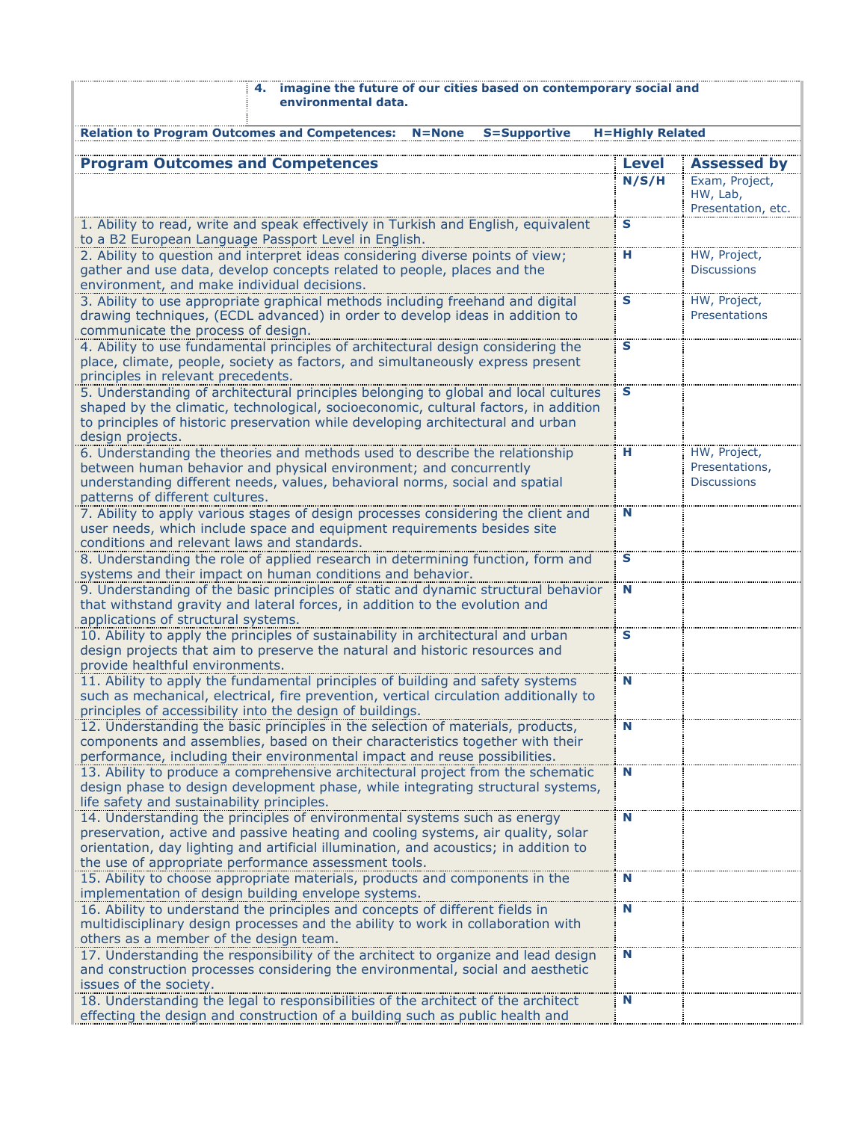| 4. imagine the future of our cities based on contemporary social and<br>environmental data.                                                                                                                                                                                                                  |                         |                                                      |
|--------------------------------------------------------------------------------------------------------------------------------------------------------------------------------------------------------------------------------------------------------------------------------------------------------------|-------------------------|------------------------------------------------------|
| <b>Relation to Program Outcomes and Competences:</b><br><b>S=Supportive</b><br>N=None                                                                                                                                                                                                                        | <b>H=Highly Related</b> |                                                      |
| <b>Program Outcomes and Competences</b>                                                                                                                                                                                                                                                                      | <b>Level</b>            | <b>Assessed by</b>                                   |
|                                                                                                                                                                                                                                                                                                              | N/S/H                   | Exam, Project,<br>HW, Lab,<br>Presentation, etc.     |
| 1. Ability to read, write and speak effectively in Turkish and English, equivalent<br>to a B2 European Language Passport Level in English.                                                                                                                                                                   | S                       |                                                      |
| 2. Ability to question and interpret ideas considering diverse points of view;<br>gather and use data, develop concepts related to people, places and the<br>environment, and make individual decisions.                                                                                                     | н                       | HW, Project,<br><b>Discussions</b>                   |
| 3. Ability to use appropriate graphical methods including freehand and digital<br>drawing techniques, (ECDL advanced) in order to develop ideas in addition to<br>communicate the process of design.                                                                                                         | S                       | HW, Project,<br>Presentations                        |
| 4. Ability to use fundamental principles of architectural design considering the<br>place, climate, people, society as factors, and simultaneously express present<br>principles in relevant precedents.                                                                                                     | S                       |                                                      |
| 5. Understanding of architectural principles belonging to global and local cultures<br>shaped by the climatic, technological, socioeconomic, cultural factors, in addition<br>to principles of historic preservation while developing architectural and urban<br>design projects.                            | S                       |                                                      |
| 6. Understanding the theories and methods used to describe the relationship<br>between human behavior and physical environment; and concurrently<br>understanding different needs, values, behavioral norms, social and spatial<br>patterns of different cultures.                                           | н                       | HW, Project,<br>Presentations,<br><b>Discussions</b> |
| 7. Ability to apply various stages of design processes considering the client and<br>user needs, which include space and equipment requirements besides site<br>conditions and relevant laws and standards.                                                                                                  | N                       |                                                      |
| 8. Understanding the role of applied research in determining function, form and<br>systems and their impact on human conditions and behavior.                                                                                                                                                                | S                       |                                                      |
| 9. Understanding of the basic principles of static and dynamic structural behavior<br>that withstand gravity and lateral forces, in addition to the evolution and<br>applications of structural systems.                                                                                                     | N                       |                                                      |
| 10. Ability to apply the principles of sustainability in architectural and urban<br>design projects that aim to preserve the natural and historic resources and<br>provide healthful environments.                                                                                                           | S                       |                                                      |
| 11. Ability to apply the fundamental principles of building and safety systems<br>such as mechanical, electrical, fire prevention, vertical circulation additionally to<br>principles of accessibility into the design of buildings.                                                                         | N                       |                                                      |
| 12. Understanding the basic principles in the selection of materials, products,<br>components and assemblies, based on their characteristics together with their<br>performance, including their environmental impact and reuse possibilities.                                                               | N                       |                                                      |
| 13. Ability to produce a comprehensive architectural project from the schematic<br>design phase to design development phase, while integrating structural systems,<br>life safety and sustainability principles.                                                                                             | N                       |                                                      |
| 14. Understanding the principles of environmental systems such as energy<br>preservation, active and passive heating and cooling systems, air quality, solar<br>orientation, day lighting and artificial illumination, and acoustics; in addition to<br>the use of appropriate performance assessment tools. | N                       |                                                      |
| 15. Ability to choose appropriate materials, products and components in the<br>implementation of design building envelope systems.                                                                                                                                                                           | N                       |                                                      |
| 16. Ability to understand the principles and concepts of different fields in<br>multidisciplinary design processes and the ability to work in collaboration with<br>others as a member of the design team.                                                                                                   | N                       |                                                      |
| 17. Understanding the responsibility of the architect to organize and lead design<br>and construction processes considering the environmental, social and aesthetic<br>issues of the society.                                                                                                                | N                       |                                                      |
| 18. Understanding the legal to responsibilities of the architect of the architect<br>effecting the design and construction of a building such as public health and                                                                                                                                           | N                       |                                                      |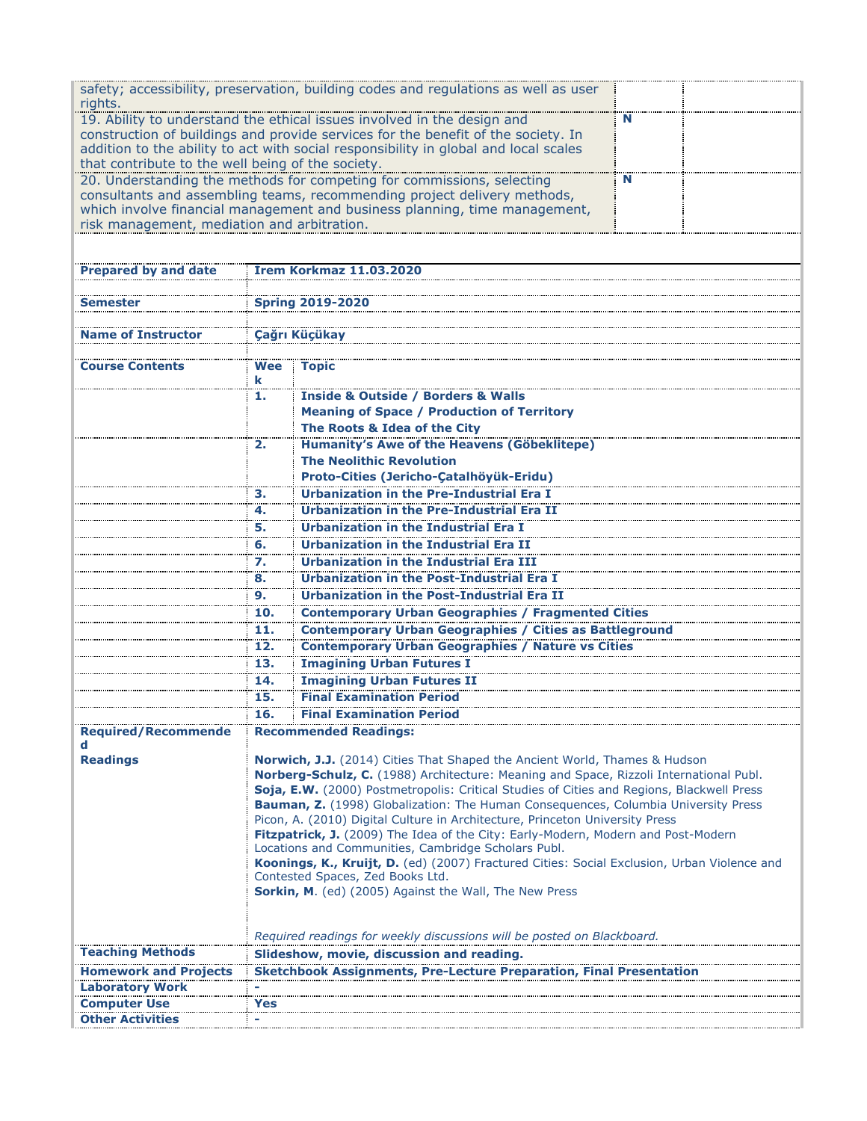|                                                   |                                                                                                                                                    | safety; accessibility, preservation, building codes and regulations as well as user    |   |  |  |
|---------------------------------------------------|----------------------------------------------------------------------------------------------------------------------------------------------------|----------------------------------------------------------------------------------------|---|--|--|
| rights.                                           |                                                                                                                                                    |                                                                                        |   |  |  |
|                                                   |                                                                                                                                                    | 19. Ability to understand the ethical issues involved in the design and                | N |  |  |
|                                                   |                                                                                                                                                    | construction of buildings and provide services for the benefit of the society. In      |   |  |  |
| that contribute to the well being of the society. |                                                                                                                                                    | addition to the ability to act with social responsibility in global and local scales   |   |  |  |
|                                                   |                                                                                                                                                    | 20. Understanding the methods for competing for commissions, selecting                 | N |  |  |
|                                                   |                                                                                                                                                    | consultants and assembling teams, recommending project delivery methods,               |   |  |  |
|                                                   |                                                                                                                                                    | which involve financial management and business planning, time management,             |   |  |  |
| risk management, mediation and arbitration.       |                                                                                                                                                    |                                                                                        |   |  |  |
|                                                   |                                                                                                                                                    |                                                                                        |   |  |  |
|                                                   |                                                                                                                                                    |                                                                                        |   |  |  |
| <b>Prepared by and date</b>                       |                                                                                                                                                    | <b>İrem Korkmaz 11.03.2020</b>                                                         |   |  |  |
|                                                   |                                                                                                                                                    |                                                                                        |   |  |  |
| Semester                                          |                                                                                                                                                    | <b>Spring 2019-2020</b>                                                                |   |  |  |
| <b>Name of Instructor</b>                         |                                                                                                                                                    |                                                                                        |   |  |  |
|                                                   |                                                                                                                                                    | Çağrı Küçükay                                                                          |   |  |  |
| <b>Course Contents</b>                            | Wee                                                                                                                                                | <b>Topic</b>                                                                           |   |  |  |
|                                                   | k                                                                                                                                                  |                                                                                        |   |  |  |
|                                                   | 1.                                                                                                                                                 | <b>Inside &amp; Outside / Borders &amp; Walls</b>                                      |   |  |  |
|                                                   |                                                                                                                                                    | <b>Meaning of Space / Production of Territory</b>                                      |   |  |  |
|                                                   |                                                                                                                                                    | The Roots & Idea of the City                                                           |   |  |  |
|                                                   | 2.                                                                                                                                                 | Humanity's Awe of the Heavens (Göbeklitepe)                                            |   |  |  |
|                                                   |                                                                                                                                                    | <b>The Neolithic Revolution</b>                                                        |   |  |  |
|                                                   |                                                                                                                                                    | Proto-Cities (Jericho-Çatalhöyük-Eridu)                                                |   |  |  |
|                                                   | з.                                                                                                                                                 | <b>Urbanization in the Pre-Industrial Era I</b>                                        |   |  |  |
|                                                   | 4.                                                                                                                                                 | <b>Urbanization in the Pre-Industrial Era II</b>                                       |   |  |  |
|                                                   | 5.                                                                                                                                                 | <b>Urbanization in the Industrial Era I</b>                                            |   |  |  |
|                                                   | 6.                                                                                                                                                 | Urbanization in the Industrial Era II                                                  |   |  |  |
|                                                   | 7.                                                                                                                                                 | Urbanization in the Industrial Era III                                                 |   |  |  |
|                                                   | 8.                                                                                                                                                 | <b>Urbanization in the Post-Industrial Era I</b>                                       |   |  |  |
|                                                   | 9.                                                                                                                                                 | <b>Urbanization in the Post-Industrial Era II</b>                                      |   |  |  |
|                                                   | 10.                                                                                                                                                | <b>Contemporary Urban Geographies / Fragmented Cities</b>                              |   |  |  |
|                                                   | 11.                                                                                                                                                | <b>Contemporary Urban Geographies / Cities as Battleground</b>                         |   |  |  |
|                                                   | 12.                                                                                                                                                | <b>Contemporary Urban Geographies / Nature vs Cities</b>                               |   |  |  |
|                                                   | 13.                                                                                                                                                | <b>Imagining Urban Futures I</b>                                                       |   |  |  |
|                                                   | 14.                                                                                                                                                | <b>Imagining Urban Futures II</b>                                                      |   |  |  |
|                                                   | 15.                                                                                                                                                | <b>Final Examination Period</b>                                                        |   |  |  |
|                                                   | 16.                                                                                                                                                | <b>Final Examination Period</b>                                                        |   |  |  |
| <b>Required/Recommende</b>                        |                                                                                                                                                    | <b>Recommended Readings:</b>                                                           |   |  |  |
| d<br><b>Readings</b>                              |                                                                                                                                                    | Norwich, J.J. (2014) Cities That Shaped the Ancient World, Thames & Hudson             |   |  |  |
|                                                   |                                                                                                                                                    | Norberg-Schulz, C. (1988) Architecture: Meaning and Space, Rizzoli International Publ. |   |  |  |
|                                                   | Soja, E.W. (2000) Postmetropolis: Critical Studies of Cities and Regions, Blackwell Press                                                          |                                                                                        |   |  |  |
|                                                   |                                                                                                                                                    | Bauman, Z. (1998) Globalization: The Human Consequences, Columbia University Press     |   |  |  |
|                                                   |                                                                                                                                                    | Picon, A. (2010) Digital Culture in Architecture, Princeton University Press           |   |  |  |
|                                                   |                                                                                                                                                    | Fitzpatrick, J. (2009) The Idea of the City: Early-Modern, Modern and Post-Modern      |   |  |  |
|                                                   | Locations and Communities, Cambridge Scholars Publ.<br>Koonings, K., Kruijt, D. (ed) (2007) Fractured Cities: Social Exclusion, Urban Violence and |                                                                                        |   |  |  |
|                                                   | Contested Spaces, Zed Books Ltd.                                                                                                                   |                                                                                        |   |  |  |
|                                                   | Sorkin, M. (ed) (2005) Against the Wall, The New Press                                                                                             |                                                                                        |   |  |  |
|                                                   |                                                                                                                                                    |                                                                                        |   |  |  |
|                                                   |                                                                                                                                                    |                                                                                        |   |  |  |
|                                                   |                                                                                                                                                    | Required readings for weekly discussions will be posted on Blackboard.                 |   |  |  |
| <b>Teaching Methods</b>                           |                                                                                                                                                    | Slideshow, movie, discussion and reading.                                              |   |  |  |
| <b>Homework and Projects</b>                      |                                                                                                                                                    | <b>Sketchbook Assignments, Pre-Lecture Preparation, Final Presentation</b>             |   |  |  |
| <b>Laboratory Work</b>                            |                                                                                                                                                    |                                                                                        |   |  |  |
| <b>Computer Use</b>                               | Yes                                                                                                                                                |                                                                                        |   |  |  |
| Other Activities                                  |                                                                                                                                                    |                                                                                        |   |  |  |